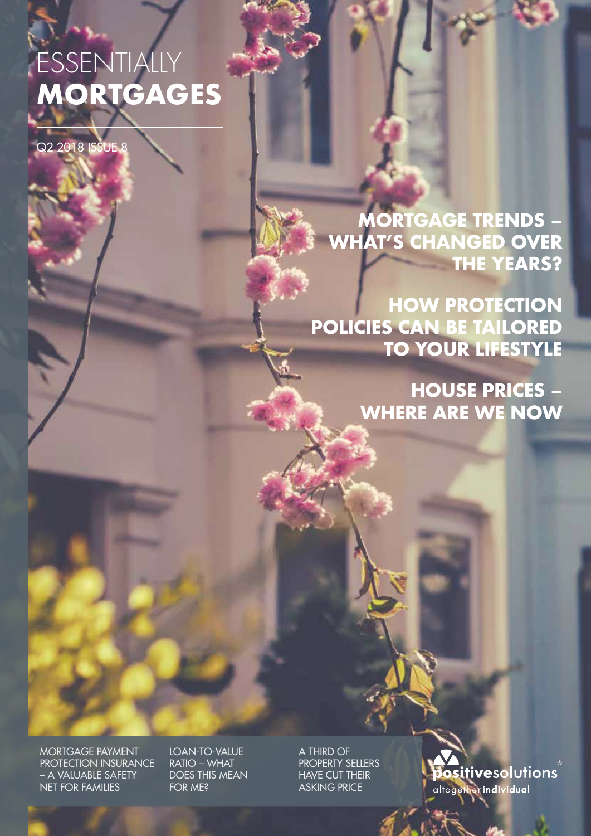# ESSENTIALLY **MORTGAGES**

Q2 2018 ISSUE 8

**MORTGAGE TRENDS – WHAT'S CHANGED OVER THE YEARS?**

**HOW PROTECTION POLICIES CAN BE TAILORED TO YOUR LIFESTYLE**

> **HOUSE PRICES – WHERE ARE WE NOW**

MORTGAGE PAYMENT PROTECTION INSURANCE – A VALUABLE SAFETY NET FOR FAMILIES

LOAN-TO-VALUE RATIO – WHAT DOES THIS MEAN FOR ME?

A THIRD OF PROPERTY SELLERS HAVE CUT THEIR ASKING PRICE

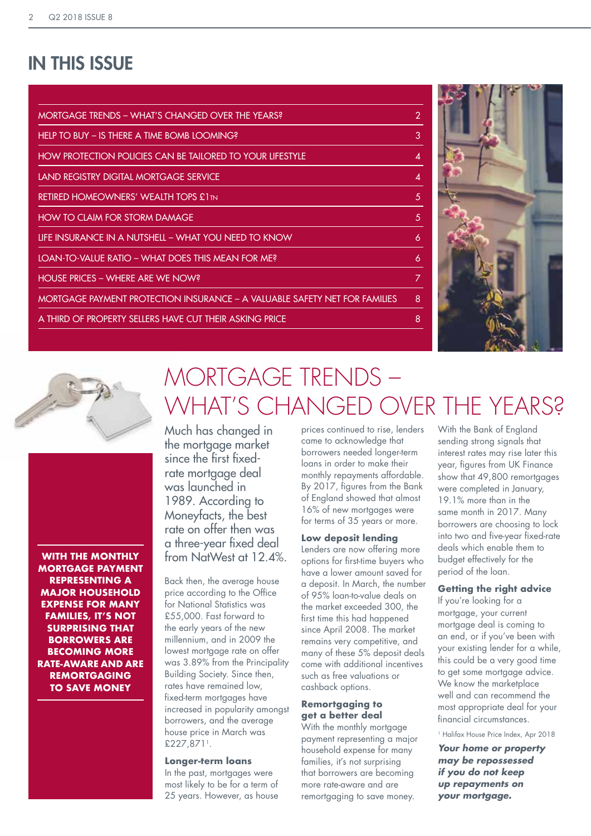### IN THIS ISSUE

| MORTGAGE TRENDS – WHAT'S CHANGED OVER THE YEARS?                           | 2 |
|----------------------------------------------------------------------------|---|
| HELP TO BUY – IS THERE A TIME BOMB LOOMING?                                | 3 |
| HOW PROTECTION POLICIES CAN BE TAILORED TO YOUR LIFESTYLE                  | 4 |
| LAND REGISTRY DIGITAL MORTGAGE SERVICE                                     | 4 |
| <b>RETIRED HOMEOWNERS' WEALTH TOPS £1TN</b>                                | 5 |
| <b>HOW TO CLAIM FOR STORM DAMAGE</b>                                       | 5 |
| LIFE INSURANCE IN A NUTSHELL – WHAT YOU NEED TO KNOW                       | 6 |
| LOAN-TO-VALUE RATIO - WHAT DOES THIS MEAN FOR ME?                          | 6 |
| HOUSE PRICES – WHERE ARE WE NOW?                                           | 7 |
| MORTGAGE PAYMENT PROTECTION INSURANCE – A VALUABLE SAFETY NET FOR FAMILIES | 8 |
| A THIRD OF PROPERTY SELLERS HAVE CUT THEIR ASKING PRICE                    | 8 |
|                                                                            |   |





**WITH THE MONTHLY MORTGAGE PAYMENT REPRESENTING A MAJOR HOUSEHOLD EXPENSE FOR MANY FAMILIES, IT'S NOT SURPRISING THAT BORROWERS ARE BECOMING MORE RATE-AWARE AND ARE REMORTGAGING TO SAVE MONEY**

## MORTGAGE TRENDS – WHAT'S CHANGED OVER THE YEARS?

Much has changed in the mortgage market since the first fixedrate mortgage deal was launched in 1989. According to Moneyfacts, the best rate on offer then was a three-year fixed deal from NatWest at 12.4%.

Back then, the average house price according to the Office for National Statistics was £55,000. Fast forward to the early years of the new millennium, and in 2009 the lowest mortgage rate on offer was 3.89% from the Principality Building Society. Since then, rates have remained low, fixed-term mortgages have increased in popularity amongst borrowers, and the average house price in March was £227,8711.

#### **Longer-term loans**

In the past, mortgages were most likely to be for a term of 25 years. However, as house

prices continued to rise, lenders came to acknowledge that borrowers needed longer-term loans in order to make their monthly repayments affordable. By 2017, figures from the Bank of England showed that almost 16% of new mortgages were for terms of 35 years or more.

#### **Low deposit lending**

Lenders are now offering more options for first-time buyers who have a lower amount saved for a deposit. In March, the number of 95% loan-to-value deals on the market exceeded 300, the first time this had happened since April 2008. The market remains very competitive, and many of these 5% deposit deals come with additional incentives such as free valuations or cashback options.

#### **Remortgaging to get a better deal**

With the monthly mortgage payment representing a major household expense for many families, it's not surprising that borrowers are becoming more rate-aware and are remortgaging to save money.

With the Bank of England sending strong signals that interest rates may rise later this year, figures from UK Finance show that 49,800 remortgages were completed in January, 19.1% more than in the same month in 2017. Many borrowers are choosing to lock into two and five-year fixed-rate deals which enable them to budget effectively for the period of the loan.

#### **Getting the right advice**

If you're looking for a mortgage, your current mortgage deal is coming to an end, or if you've been with your existing lender for a while, this could be a very good time to get some mortgage advice. We know the marketplace well and can recommend the most appropriate deal for your financial circumstances.

1 Halifax House Price Index, Apr 2018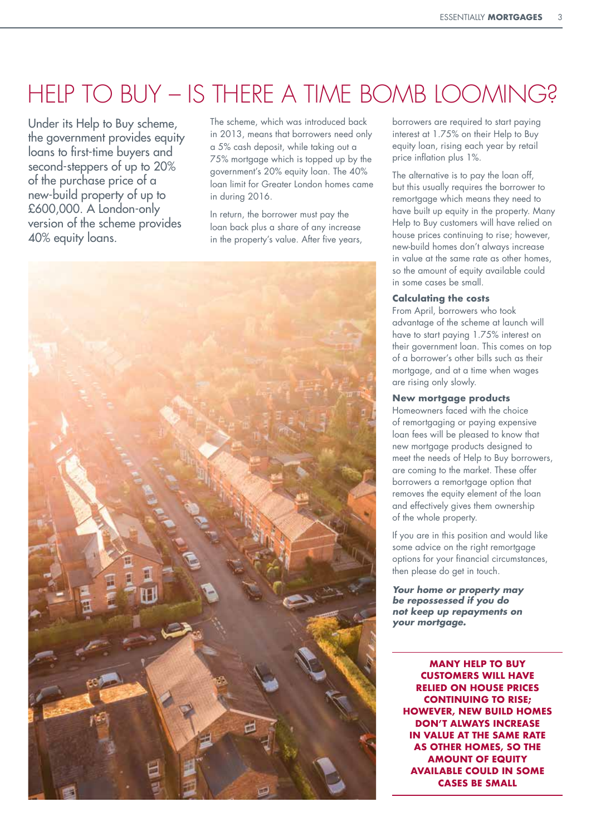## HELP TO BUY – IS THERE A TIME BOMB LOOMING?

Under its Help to Buy scheme, the government provides equity loans to first-time buyers and second-steppers of up to 20% of the purchase price of a new-build property of up to £600,000. A London-only version of the scheme provides 40% equity loans.

The scheme, which was introduced back in 2013, means that borrowers need only a 5% cash deposit, while taking out a 75% mortgage which is topped up by the government's 20% equity loan. The 40% loan limit for Greater London homes came in during 2016.

In return, the borrower must pay the loan back plus a share of any increase in the property's value. After five years,



borrowers are required to start paying interest at 1.75% on their Help to Buy equity loan, rising each year by retail price inflation plus 1%.

The alternative is to pay the loan off, but this usually requires the borrower to remortgage which means they need to have built up equity in the property. Many Help to Buy customers will have relied on house prices continuing to rise; however, new-build homes don't always increase in value at the same rate as other homes, so the amount of equity available could in some cases be small.

#### **Calculating the costs**

From April, borrowers who took advantage of the scheme at launch will have to start paying 1.75% interest on their government loan. This comes on top of a borrower's other bills such as their mortgage, and at a time when wages are rising only slowly.

#### **New mortgage products**

Homeowners faced with the choice of remortgaging or paying expensive loan fees will be pleased to know that new mortgage products designed to meet the needs of Help to Buy borrowers, are coming to the market. These offer borrowers a remortgage option that removes the equity element of the loan and effectively gives them ownership of the whole property.

If you are in this position and would like some advice on the right remortgage options for your financial circumstances, then please do get in touch.

*Your home or property may be repossessed if you do not keep up repayments on your mortgage.*

**MANY HELP TO BUY CUSTOMERS WILL HAVE RELIED ON HOUSE PRICES CONTINUING TO RISE; HOWEVER, NEW BUILD HOMES DON'T ALWAYS INCREASE IN VALUE AT THE SAME RATE AS OTHER HOMES, SO THE AMOUNT OF EQUITY AVAILABLE COULD IN SOME CASES BE SMALL**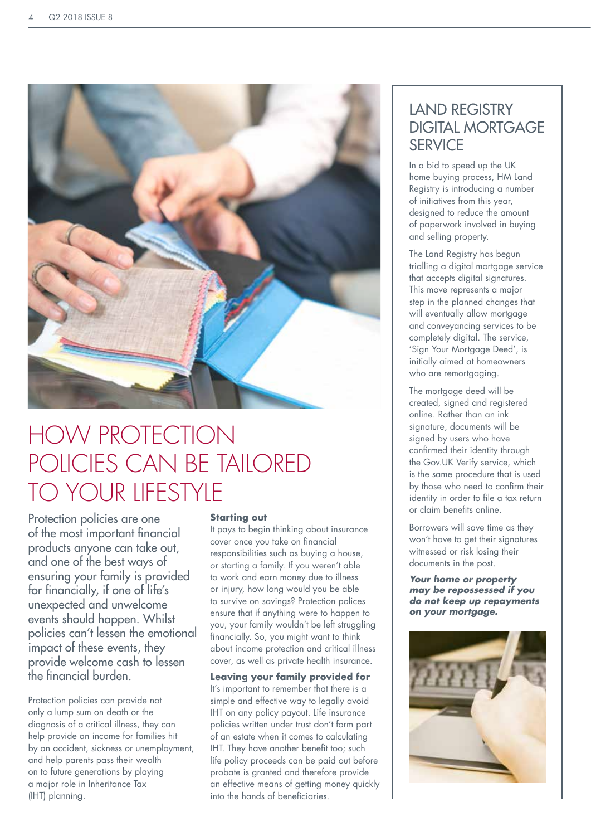

## HOW PROTECTION POLICIES CAN BE TAILORED TO YOUR LIFESTYLE

Protection policies are one of the most important financial products anyone can take out, and one of the best ways of ensuring your family is provided for financially, if one of life's unexpected and unwelcome events should happen. Whilst policies can't lessen the emotional impact of these events, they provide welcome cash to lessen the financial burden.

Protection policies can provide not only a lump sum on death or the diagnosis of a critical illness, they can help provide an income for families hit by an accident, sickness or unemployment, and help parents pass their wealth on to future generations by playing a major role in Inheritance Tax (IHT) planning.

#### **Starting out**

It pays to begin thinking about insurance cover once you take on financial responsibilities such as buying a house, or starting a family. If you weren't able to work and earn money due to illness or injury, how long would you be able to survive on savings? Protection polices ensure that if anything were to happen to you, your family wouldn't be left struggling financially. So, you might want to think about income protection and critical illness cover, as well as private health insurance.

**Leaving your family provided for** It's important to remember that there is a simple and effective way to legally avoid IHT on any policy payout. Life insurance policies written under trust don't form part of an estate when it comes to calculating IHT. They have another benefit too; such life policy proceeds can be paid out before probate is granted and therefore provide an effective means of getting money quickly into the hands of beneficiaries.

### LAND REGISTRY DIGITAL MORTGAGE **SERVICE**

In a bid to speed up the UK home buying process, HM Land Registry is introducing a number of initiatives from this year, designed to reduce the amount of paperwork involved in buying and selling property.

The Land Registry has begun trialling a digital mortgage service that accepts digital signatures. This move represents a major step in the planned changes that will eventually allow mortgage and conveyancing services to be completely digital. The service, 'Sign Your Mortgage Deed', is initially aimed at homeowners who are remortgaging.

The mortgage deed will be created, signed and registered online. Rather than an ink signature, documents will be signed by users who have confirmed their identity through the Gov.UK Verify service, which is the same procedure that is used by those who need to confirm their identity in order to file a tax return or claim benefits online.

Borrowers will save time as they won't have to get their signatures witnessed or risk losing their documents in the post.

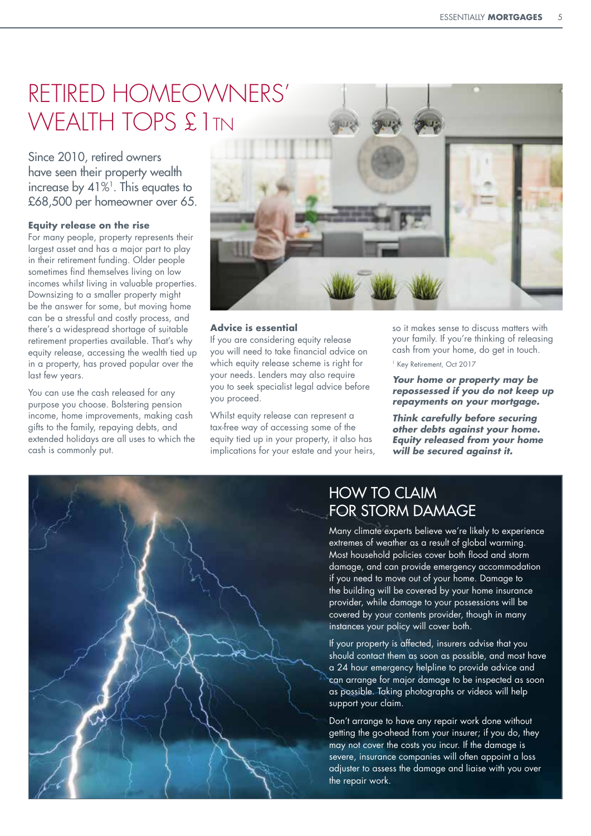### RETIRED HOMEOWNERS' WEALTH TOPS £1TN

Since 2010, retired owners have seen their property wealth increase by  $41\%$ <sup>1</sup>. This equates to £68,500 per homeowner over 65.

#### **Equity release on the rise**

For many people, property represents their largest asset and has a major part to play in their retirement funding. Older people sometimes find themselves living on low incomes whilst living in valuable properties. Downsizing to a smaller property might be the answer for some, but moving home can be a stressful and costly process, and there's a widespread shortage of suitable retirement properties available. That's why equity release, accessing the wealth tied up in a property, has proved popular over the last few years.

You can use the cash released for any purpose you choose. Bolstering pension income, home improvements, making cash gifts to the family, repaying debts, and extended holidays are all uses to which the cash is commonly put.



#### **Advice is essential**

If you are considering equity release you will need to take financial advice on which equity release scheme is right for your needs. Lenders may also require you to seek specialist legal advice before you proceed.

Whilst equity release can represent a tax-free way of accessing some of the equity tied up in your property, it also has implications for your estate and your heirs, so it makes sense to discuss matters with your family. If you're thinking of releasing cash from your home, do get in touch.

<sup>1</sup> Key Retirement, Oct 2017

*Your home or property may be repossessed if you do not keep up repayments on your mortgage.*

*Think carefully before securing other debts against your home. Equity released from your home will be secured against it.*



### HOW TO CLAIM FOR STORM DAMAGE

Many climate experts believe we're likely to experience extremes of weather as a result of global warming. Most household policies cover both flood and storm damage, and can provide emergency accommodation if you need to move out of your home. Damage to the building will be covered by your home insurance provider, while damage to your possessions will be covered by your contents provider, though in many instances your policy will cover both.

If your property is affected, insurers advise that you should contact them as soon as possible, and most have a 24 hour emergency helpline to provide advice and can arrange for major damage to be inspected as soon as possible. Taking photographs or videos will help support your claim.

Don't arrange to have any repair work done without getting the go-ahead from your insurer; if you do, they may not cover the costs you incur. If the damage is severe, insurance companies will often appoint a loss adjuster to assess the damage and liaise with you over the repair work.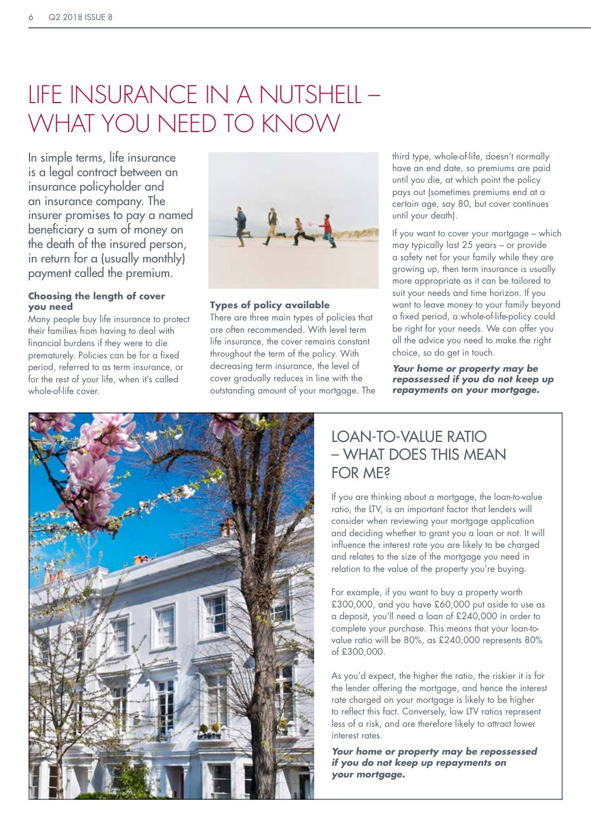## LIFE INSURANCE IN A NUTSHELL – WHAT YOU NEED TO KNOW

In simple terms, life insurance is a legal contract between an insurance policyholder and an insurance company. The insurer promises to pay a named beneficiary a sum of money on the death of the insured person, in return for a (usually monthly) payment called the premium.

#### **Choosing the length of cover you need**

Many people buy life insurance to protect their families from having to deal with financial burdens if they were to die prematurely. Policies can be for a fixed period, referred to as term insurance, or for the rest of your life, when it's called whole-of-life cover.



#### **Types of policy available**

There are three main types of policies that are often recommended. With level term life insurance, the cover remains constant throughout the term of the policy. With decreasing term insurance, the level of cover gradually reduces in line with the outstanding amount of your mortgage. The third type, whole-of-life, doesn't normally have an end date, so premiums are paid until you die, at which point the policy pays out (sometimes premiums end at a certain age, say 80, but cover continues until your death).

If you want to cover your mortgage – which may typically last 25 years – or provide a safety net for your family while they are growing up, then term insurance is usually more appropriate as it can be tailored to suit your needs and time horizon. If you want to leave money to your family beyond a fixed period, a whole-of-life-policy could be right for your needs. We can offer you all the advice you need to make the right choice, so do get in touch.

*Your home or property may be repossessed if you do not keep up repayments on your mortgage.*



### LOAN-TO-VALUE RATIO – WHAT DOES THIS MEAN FOR ME?

If you are thinking about a mortgage, the loan-to-value ratio, the LTV, is an important factor that lenders will consider when reviewing your mortgage application and deciding whether to grant you a loan or not. It will influence the interest rate you are likely to be charged and relates to the size of the mortgage you need in relation to the value of the property you're buying.

For example, if you want to buy a property worth £300,000, and you have £60,000 put aside to use as a deposit, you'll need a loan of £240,000 in order to complete your purchase. This means that your loan-tovalue ratio will be 80%, as £240,000 represents 80% of £300,000.

As you'd expect, the higher the ratio, the riskier it is for the lender offering the mortgage, and hence the interest rate charged on your mortgage is likely to be higher to reflect this fact. Conversely, low LTV ratios represent less of a risk, and are therefore likely to attract lower interest rates.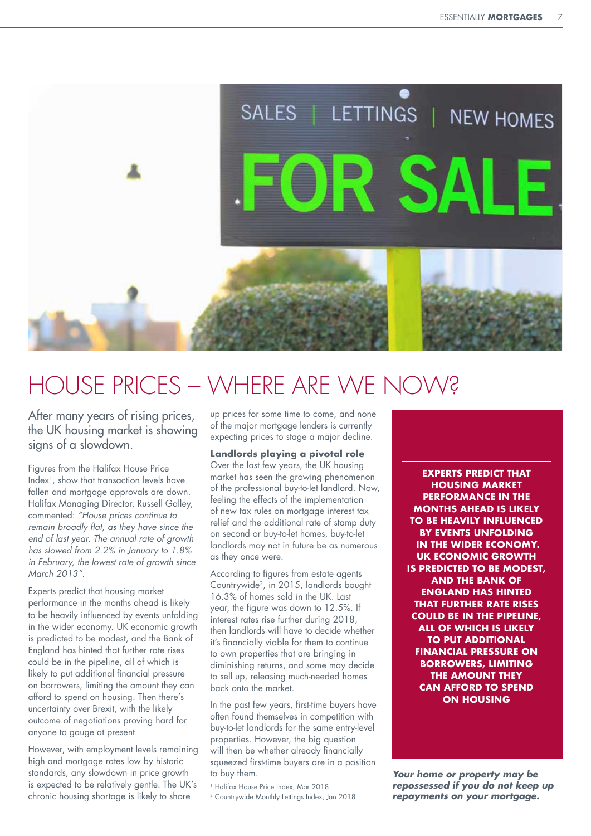

## HOUSE PRICES – WHERE ARE WE NOW?

After many years of rising prices, the UK housing market is showing signs of a slowdown.

Figures from the Halifax House Price Index1, show that transaction levels have fallen and mortgage approvals are down. Halifax Managing Director, Russell Galley, commented: *"House prices continue to remain broadly flat, as they have since the end of last year. The annual rate of growth has slowed from 2.2% in January to 1.8% in February, the lowest rate of growth since March 2013".*

Experts predict that housing market performance in the months ahead is likely to be heavily influenced by events unfolding in the wider economy. UK economic growth is predicted to be modest, and the Bank of England has hinted that further rate rises could be in the pipeline, all of which is likely to put additional financial pressure on borrowers, limiting the amount they can afford to spend on housing. Then there's uncertainty over Brexit, with the likely outcome of negotiations proving hard for anyone to gauge at present.

However, with employment levels remaining high and mortgage rates low by historic standards, any slowdown in price growth is expected to be relatively gentle. The UK's chronic housing shortage is likely to shore

up prices for some time to come, and none of the major mortgage lenders is currently expecting prices to stage a major decline.

#### **Landlords playing a pivotal role**

Over the last few years, the UK housing market has seen the growing phenomenon of the professional buy-to-let landlord. Now, feeling the effects of the implementation of new tax rules on mortgage interest tax relief and the additional rate of stamp duty on second or buy-to-let homes, buy-to-let landlords may not in future be as numerous as they once were.

According to figures from estate agents Countrywide2, in 2015, landlords bought 16.3% of homes sold in the UK. Last year, the figure was down to 12.5%. If interest rates rise further during 2018, then landlords will have to decide whether it's financially viable for them to continue to own properties that are bringing in diminishing returns, and some may decide to sell up, releasing much-needed homes back onto the market.

In the past few years, first-time buyers have often found themselves in competition with buy-to-let landlords for the same entry-level properties. However, the big question will then be whether already financially squeezed first-time buyers are in a position to buy them.

1 Halifax House Price Index, Mar 2018

2 Countrywide Monthly Lettings Index, Jan 2018

**EXPERTS PREDICT THAT HOUSING MARKET PERFORMANCE IN THE MONTHS AHEAD IS LIKELY TO BE HEAVILY INFLUENCED BY EVENTS UNFOLDING IN THE WIDER ECONOMY. UK ECONOMIC GROWTH IS PREDICTED TO BE MODEST, AND THE BANK OF ENGLAND HAS HINTED THAT FURTHER RATE RISES COULD BE IN THE PIPELINE, ALL OF WHICH IS LIKELY TO PUT ADDITIONAL FINANCIAL PRESSURE ON BORROWERS, LIMITING THE AMOUNT THEY CAN AFFORD TO SPEND ON HOUSING**